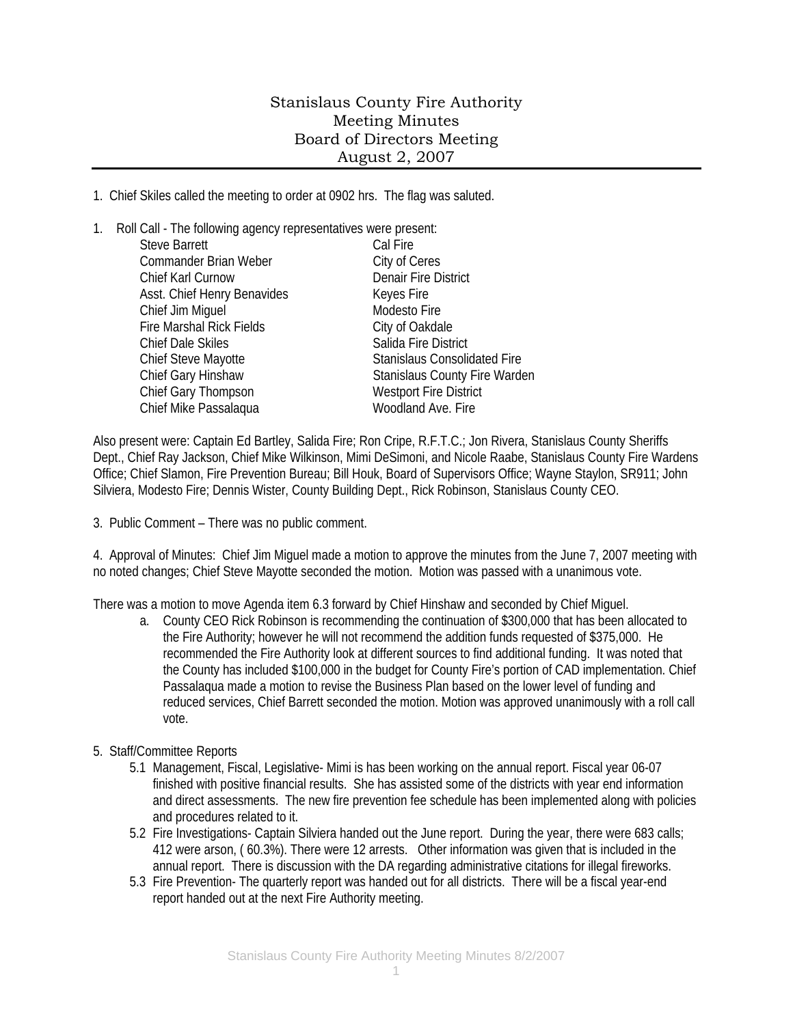## Stanislaus County Fire Authority Meeting Minutes Board of Directors Meeting August 2, 2007

1. Chief Skiles called the meeting to order at 0902 hrs. The flag was saluted.

1. Roll Call - The following agency representatives were present: Steve Barrett Cal Fire Commander Brian Weber City of Ceres Chief Karl Curnow Denair Fire District Asst. Chief Henry Benavides Keyes Fire Chief Jim Miguel **Modesto Fire** Modesto Fire Fire Marshal Rick Fields City of Oakdale Chief Dale Skiles Salida Fire District Chief Steve Mayotte Stanislaus Consolidated Fire Chief Gary Hinshaw Stanislaus County Fire Warden Chief Gary Thompson Westport Fire District Chief Mike Passalaqua Woodland Ave. Fire

Also present were: Captain Ed Bartley, Salida Fire; Ron Cripe, R.F.T.C.; Jon Rivera, Stanislaus County Sheriffs Dept., Chief Ray Jackson, Chief Mike Wilkinson, Mimi DeSimoni, and Nicole Raabe, Stanislaus County Fire Wardens Office; Chief Slamon, Fire Prevention Bureau; Bill Houk, Board of Supervisors Office; Wayne Staylon, SR911; John Silviera, Modesto Fire; Dennis Wister, County Building Dept., Rick Robinson, Stanislaus County CEO.

3. Public Comment – There was no public comment.

4. Approval of Minutes: Chief Jim Miguel made a motion to approve the minutes from the June 7, 2007 meeting with no noted changes; Chief Steve Mayotte seconded the motion. Motion was passed with a unanimous vote.

There was a motion to move Agenda item 6.3 forward by Chief Hinshaw and seconded by Chief Miguel.

- a. County CEO Rick Robinson is recommending the continuation of \$300,000 that has been allocated to the Fire Authority; however he will not recommend the addition funds requested of \$375,000. He recommended the Fire Authority look at different sources to find additional funding. It was noted that the County has included \$100,000 in the budget for County Fire's portion of CAD implementation. Chief Passalaqua made a motion to revise the Business Plan based on the lower level of funding and reduced services, Chief Barrett seconded the motion. Motion was approved unanimously with a roll call vote.
- 5. Staff/Committee Reports
	- 5.1 Management, Fiscal, Legislative- Mimi is has been working on the annual report. Fiscal year 06-07 finished with positive financial results. She has assisted some of the districts with year end information and direct assessments. The new fire prevention fee schedule has been implemented along with policies and procedures related to it.
	- 5.2 Fire Investigations- Captain Silviera handed out the June report. During the year, there were 683 calls; 412 were arson, ( 60.3%). There were 12 arrests. Other information was given that is included in the annual report. There is discussion with the DA regarding administrative citations for illegal fireworks.
	- 5.3 Fire Prevention- The quarterly report was handed out for all districts. There will be a fiscal year-end report handed out at the next Fire Authority meeting.